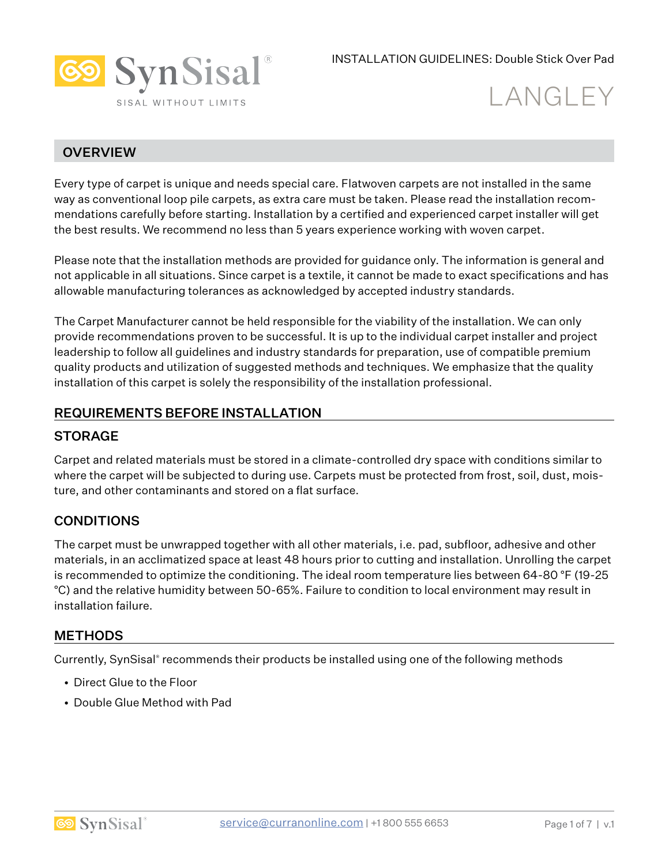

# **LANGLEY**

## **OVERVIEW**

Every type of carpet is unique and needs special care. Flatwoven carpets are not installed in the same way as conventional loop pile carpets, as extra care must be taken. Please read the installation recommendations carefully before starting. Installation by a certified and experienced carpet installer will get the best results. We recommend no less than 5 years experience working with woven carpet.

Please note that the installation methods are provided for guidance only. The information is general and not applicable in all situations. Since carpet is a textile, it cannot be made to exact specifications and has allowable manufacturing tolerances as acknowledged by accepted industry standards.

The Carpet Manufacturer cannot be held responsible for the viability of the installation. We can only provide recommendations proven to be successful. It is up to the individual carpet installer and project leadership to follow all guidelines and industry standards for preparation, use of compatible premium quality products and utilization of suggested methods and techniques. We emphasize that the quality installation of this carpet is solely the responsibility of the installation professional.

#### REQUIREMENTS BEFORE INSTALLATION

#### **STORAGE**

Carpet and related materials must be stored in a climate-controlled dry space with conditions similar to where the carpet will be subjected to during use. Carpets must be protected from frost, soil, dust, moisture, and other contaminants and stored on a flat surface.

#### **CONDITIONS**

The carpet must be unwrapped together with all other materials, i.e. pad, subfloor, adhesive and other materials, in an acclimatized space at least 48 hours prior to cutting and installation. Unrolling the carpet is recommended to optimize the conditioning. The ideal room temperature lies between 64-80 °F (19-25 °C) and the relative humidity between 50-65%. Failure to condition to local environment may result in installation failure.

#### **METHODS**

Currently, SynSisal® recommends their products be installed using one of the following methods

- Direct Glue to the Floor
- Double Glue Method with Pad

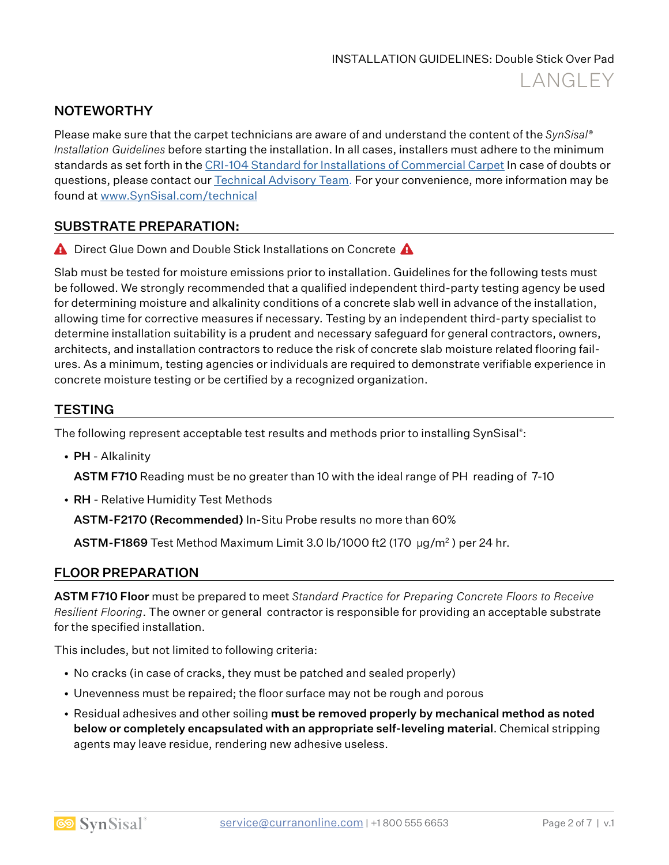## **NOTEWORTHY**

Please make sure that the carpet technicians are aware of and understand the content of the *SynSisal® Installation Guidelines* before starting the installation. In all cases, installers must adhere to the minimum standards as set forth in the [CRI-104 Standard for Installations of Commercial Carpet](https://carpet-rug.org/resources/installation-standards/) In case of doubts or questions, please contact our **Technical Advisory Team.** For your convenience, more information may be found at [www.SynSisal.com/technical](http://www.synsisal.com/technical)

## SUBSTRATE PREPARATION:

**A** Direct Glue Down and Double Stick Installations on Concrete  $\triangle$ 

Slab must be tested for moisture emissions prior to installation. Guidelines for the following tests must be followed. We strongly recommended that a qualified independent third-party testing agency be used for determining moisture and alkalinity conditions of a concrete slab well in advance of the installation, allowing time for corrective measures if necessary. Testing by an independent third-party specialist to determine installation suitability is a prudent and necessary safeguard for general contractors, owners, architects, and installation contractors to reduce the risk of concrete slab moisture related flooring failures. As a minimum, testing agencies or individuals are required to demonstrate verifiable experience in concrete moisture testing or be certified by a recognized organization.

## **TESTING**

The following represent acceptable test results and methods prior to installing SynSisal® :

• PH - Alkalinity

ASTM F710 Reading must be no greater than 10 with the ideal range of PH reading of 7-10

• RH - Relative Humidity Test Methods

ASTM-F2170 (Recommended) In-Situ Probe results no more than 60%

ASTM-F1869 Test Method Maximum Limit 3.0 lb/1000 ft2 (170  $\mu q/m^2$ ) per 24 hr.

#### FLOOR PREPARATION

ASTM F710 Floor must be prepared to meet *Standard Practice for Preparing Concrete Floors to Receive Resilient Flooring*. The owner or general contractor is responsible for providing an acceptable substrate for the specified installation.

This includes, but not limited to following criteria:

- No cracks (in case of cracks, they must be patched and sealed properly)
- Unevenness must be repaired; the floor surface may not be rough and porous
- Residual adhesives and other soiling must be removed properly by mechanical method as noted below or completely encapsulated with an appropriate self-leveling material. Chemical stripping agents may leave residue, rendering new adhesive useless.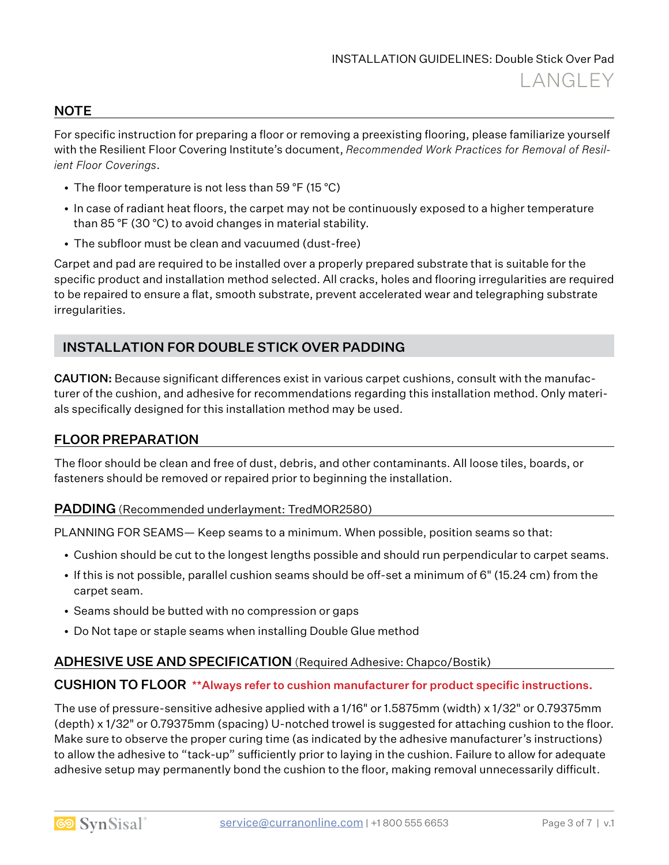#### **NOTE**

For specific instruction for preparing a floor or removing a preexisting flooring, please familiarize yourself with the Resilient Floor Covering Institute's document, *Recommended Work Practices for Removal of Resilient Floor Coverings*.

- The floor temperature is not less than 59 °F (15 °C)
- In case of radiant heat floors, the carpet may not be continuously exposed to a higher temperature than 85 °F (30 °C) to avoid changes in material stability.
- The subfloor must be clean and vacuumed (dust-free)

Carpet and pad are required to be installed over a properly prepared substrate that is suitable for the specific product and installation method selected. All cracks, holes and flooring irregularities are required to be repaired to ensure a flat, smooth substrate, prevent accelerated wear and telegraphing substrate irregularities.

## INSTALLATION FOR DOUBLE STICK OVER PADDING

CAUTION: Because significant differences exist in various carpet cushions, consult with the manufacturer of the cushion, and adhesive for recommendations regarding this installation method. Only materials specifically designed for this installation method may be used.

#### FLOOR PREPARATION

The floor should be clean and free of dust, debris, and other contaminants. All loose tiles, boards, or fasteners should be removed or repaired prior to beginning the installation.

#### PADDING (Recommended underlayment: TredMOR2580)

PLANNING FOR SEAMS— Keep seams to a minimum. When possible, position seams so that:

- Cushion should be cut to the longest lengths possible and should run perpendicular to carpet seams.
- If this is not possible, parallel cushion seams should be off-set a minimum of 6" (15.24 cm) from the carpet seam.
- Seams should be butted with no compression or gaps
- Do Not tape or staple seams when installing Double Glue method

#### ADHESIVE USE AND SPECIFICATION (Required Adhesive: Chapco/Bostik)

#### CUSHION TO FLOOR \*\*Always refer to cushion manufacturer for product specific instructions.

The use of pressure-sensitive adhesive applied with a 1/16" or 1.5875mm (width) x 1/32" or 0.79375mm (depth) x 1/32" or 0.79375mm (spacing) U-notched trowel is suggested for attaching cushion to the floor. Make sure to observe the proper curing time (as indicated by the adhesive manufacturer's instructions) to allow the adhesive to "tack-up" sufficiently prior to laying in the cushion. Failure to allow for adequate adhesive setup may permanently bond the cushion to the floor, making removal unnecessarily difficult.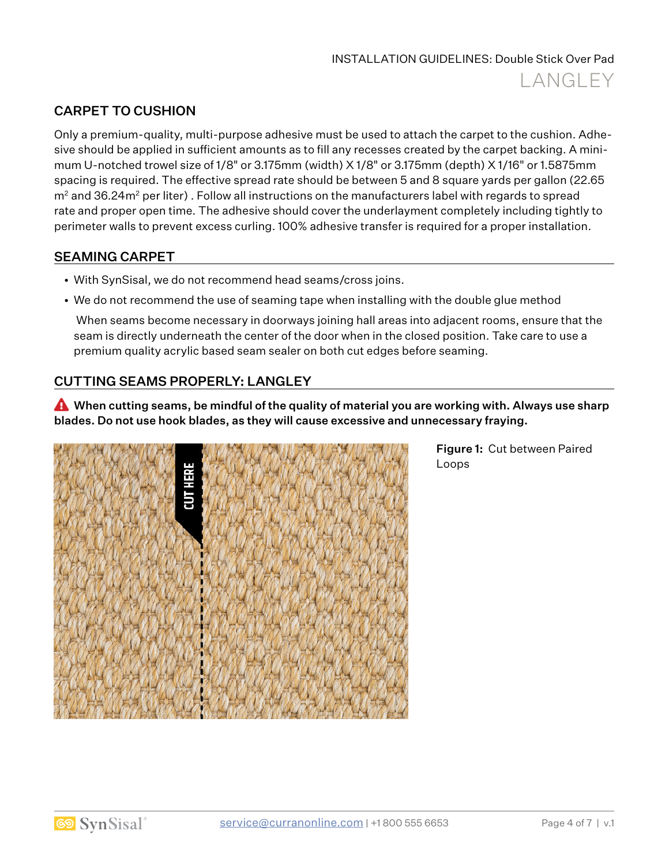## CARPET TO CUSHION

Only a premium-quality, multi-purpose adhesive must be used to attach the carpet to the cushion. Adhesive should be applied in sufficient amounts as to fill any recesses created by the carpet backing. A minimum U-notched trowel size of 1/8" or 3.175mm (width) X 1/8" or 3.175mm (depth) X 1/16" or 1.5875mm spacing is required. The effective spread rate should be between 5 and 8 square yards per gallon (22.65  $m<sup>2</sup>$  and 36.24 $m<sup>2</sup>$  per liter). Follow all instructions on the manufacturers label with regards to spread rate and proper open time. The adhesive should cover the underlayment completely including tightly to perimeter walls to prevent excess curling. 100% adhesive transfer is required for a proper installation.

## SEAMING CARPET

- With SynSisal, we do not recommend head seams/cross joins.
- We do not recommend the use of seaming tape when installing with the double glue method

 When seams become necessary in doorways joining hall areas into adjacent rooms, ensure that the seam is directly underneath the center of the door when in the closed position. Take care to use a premium quality acrylic based seam sealer on both cut edges before seaming.

## CUTTING SEAMS PROPERLY: LANGLEY

 $\triangle$  When cutting seams, be mindful of the quality of material you are working with. Always use sharp blades. Do not use hook blades, as they will cause excessive and unnecessary fraying.



Figure 1: Cut between Paired Loops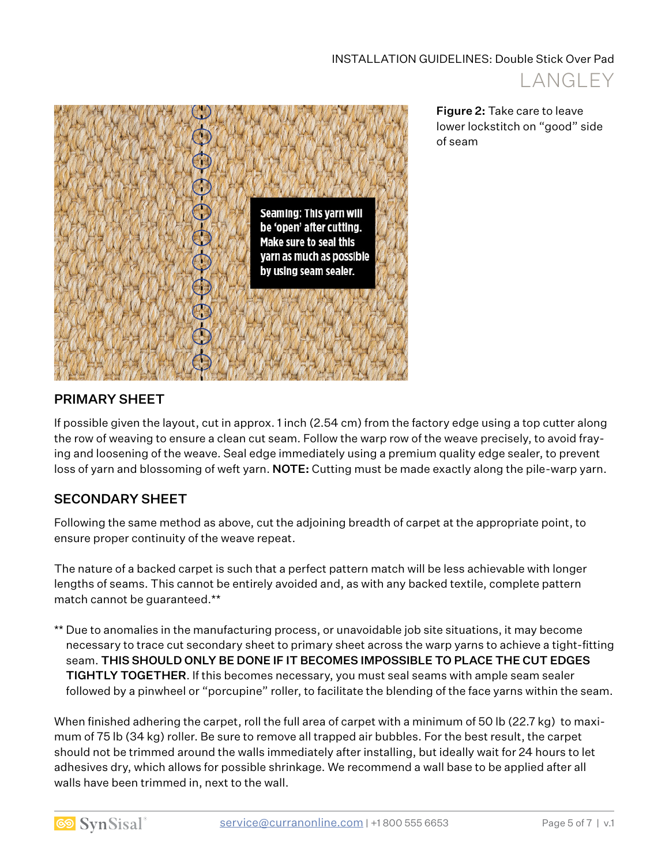



Figure 2: Take care to leave lower lockstitch on "good" side of seam

## PRIMARY SHEET

If possible given the layout, cut in approx. 1 inch (2.54 cm) from the factory edge using a top cutter along the row of weaving to ensure a clean cut seam. Follow the warp row of the weave precisely, to avoid fraying and loosening of the weave. Seal edge immediately using a premium quality edge sealer, to prevent loss of yarn and blossoming of weft yarn. NOTE: Cutting must be made exactly along the pile-warp yarn.

## SECONDARY SHEET

Following the same method as above, cut the adjoining breadth of carpet at the appropriate point, to ensure proper continuity of the weave repeat.

The nature of a backed carpet is such that a perfect pattern match will be less achievable with longer lengths of seams. This cannot be entirely avoided and, as with any backed textile, complete pattern match cannot be guaranteed.\*\*

\*\* Due to anomalies in the manufacturing process, or unavoidable job site situations, it may become necessary to trace cut secondary sheet to primary sheet across the warp yarns to achieve a tight-fitting seam. THIS SHOULD ONLY BE DONE IF IT BECOMES IMPOSSIBLE TO PLACE THE CUT EDGES TIGHTLY TOGETHER. If this becomes necessary, you must seal seams with ample seam sealer followed by a pinwheel or "porcupine" roller, to facilitate the blending of the face yarns within the seam.

When finished adhering the carpet, roll the full area of carpet with a minimum of 50 lb (22.7 kg) to maximum of 75 lb (34 kg) roller. Be sure to remove all trapped air bubbles. For the best result, the carpet should not be trimmed around the walls immediately after installing, but ideally wait for 24 hours to let adhesives dry, which allows for possible shrinkage. We recommend a wall base to be applied after all walls have been trimmed in, next to the wall.

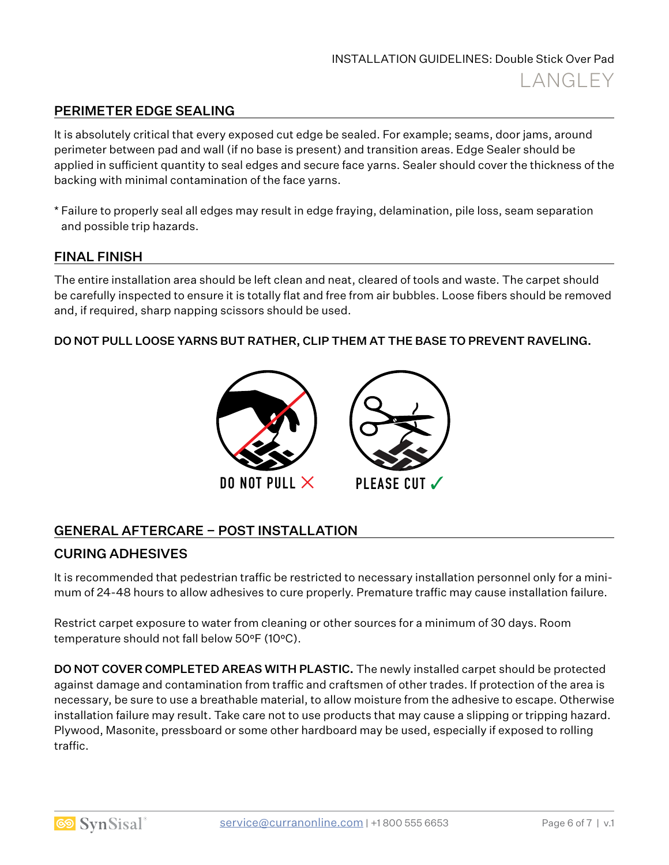## PERIMETER EDGE SEALING

It is absolutely critical that every exposed cut edge be sealed. For example; seams, door jams, around perimeter between pad and wall (if no base is present) and transition areas. Edge Sealer should be applied in sufficient quantity to seal edges and secure face yarns. Sealer should cover the thickness of the backing with minimal contamination of the face yarns.

\* Failure to properly seal all edges may result in edge fraying, delamination, pile loss, seam separation and possible trip hazards.

#### FINAL FINISH

The entire installation area should be left clean and neat, cleared of tools and waste. The carpet should be carefully inspected to ensure it is totally flat and free from air bubbles. Loose fibers should be removed and, if required, sharp napping scissors should be used.

#### DO NOT PULL LOOSE YARNS BUT RATHER, CLIP THEM AT THE BASE TO PREVENT RAVELING.



## GENERAL AFTERCARE – POST INSTALLATION

#### CURING ADHESIVES

It is recommended that pedestrian traffic be restricted to necessary installation personnel only for a minimum of 24-48 hours to allow adhesives to cure properly. Premature traffic may cause installation failure.

Restrict carpet exposure to water from cleaning or other sources for a minimum of 30 days. Room temperature should not fall below 50°F (10°C).

**DO NOT COVER COMPLETED AREAS WITH PLASTIC.** The newly installed carpet should be protected against damage and contamination from traffic and craftsmen of other trades. If protection of the area is necessary, be sure to use a breathable material, to allow moisture from the adhesive to escape. Otherwise installation failure may result. Take care not to use products that may cause a slipping or tripping hazard. Plywood, Masonite, pressboard or some other hardboard may be used, especially if exposed to rolling traffic.